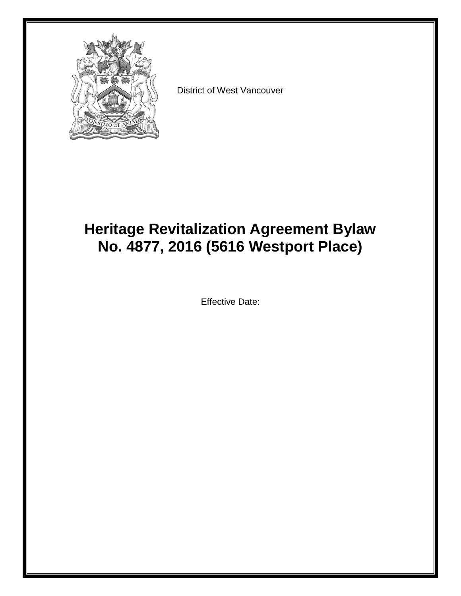

District of West Vancouver

# **Heritage Revitalization Agreement Bylaw No. 4877, 2016 (5616 Westport Place)**

Effective Date: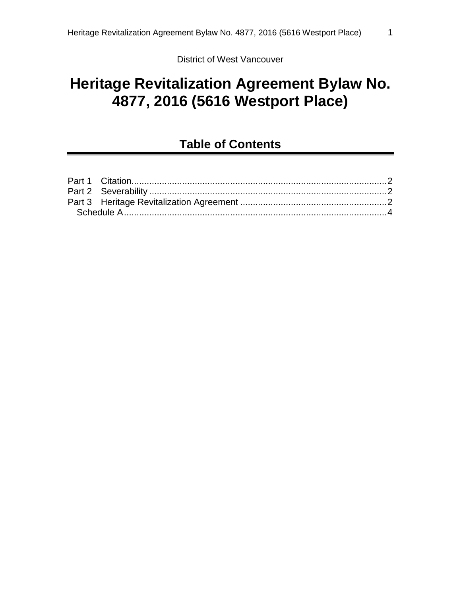District of West Vancouver

# **Heritage Revitalization Agreement Bylaw No. 4877, 2016 (5616 Westport Place)**

# **Table of Contents**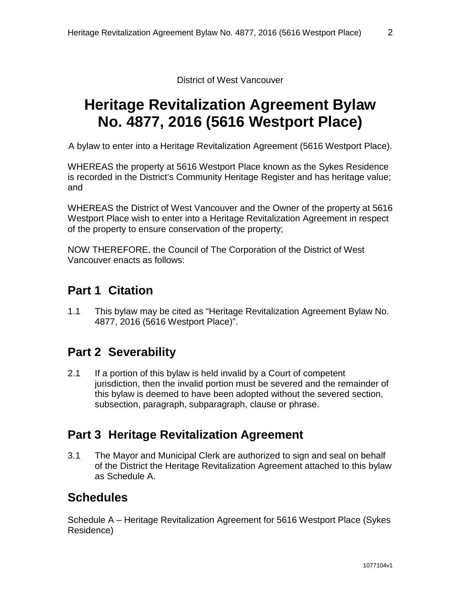District of West Vancouver

# **Heritage Revitalization Agreement Bylaw No. 4877, 2016 (5616 Westport Place)**

A bylaw to enter into a Heritage Revitalization Agreement (5616 Westport Place).

WHEREAS the property at 5616 Westport Place known as the Sykes Residence is recorded in the District's Community Heritage Register and has heritage value; and

WHEREAS the District of West Vancouver and the Owner of the property at 5616 Westport Place wish to enter into a Heritage Revitalization Agreement in respect of the property to ensure conservation of the property;

NOW THEREFORE, the Council of The Corporation of the District of West Vancouver enacts as follows:

### <span id="page-2-0"></span>**Part 1 Citation**

1.1 This bylaw may be cited as "Heritage Revitalization Agreement Bylaw No. 4877, 2016 (5616 Westport Place)".

# <span id="page-2-1"></span>**Part 2 Severability**

2.1 If a portion of this bylaw is held invalid by a Court of competent jurisdiction, then the invalid portion must be severed and the remainder of this bylaw is deemed to have been adopted without the severed section, subsection, paragraph, subparagraph, clause or phrase.

# <span id="page-2-2"></span>**Part 3 Heritage Revitalization Agreement**

3.1 The Mayor and Municipal Clerk are authorized to sign and seal on behalf of the District the Heritage Revitalization Agreement attached to this bylaw as Schedule A.

# **Schedules**

Schedule A – Heritage Revitalization Agreement for 5616 Westport Place (Sykes Residence)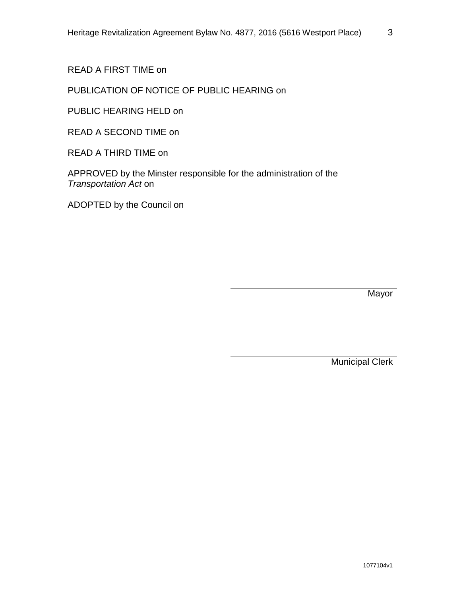READ A FIRST TIME on

### PUBLICATION OF NOTICE OF PUBLIC HEARING on

PUBLIC HEARING HELD on

READ A SECOND TIME on

READ A THIRD TIME on

APPROVED by the Minster responsible for the administration of the *Transportation Act* on

ADOPTED by the Council on

Mayor

Municipal Clerk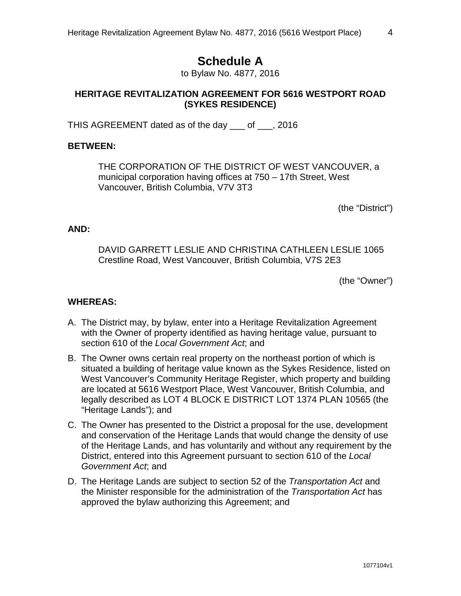## **Schedule A**

to Bylaw No. 4877, 2016

#### <span id="page-4-0"></span>**HERITAGE REVITALIZATION AGREEMENT FOR 5616 WESTPORT ROAD (SYKES RESIDENCE)**

THIS AGREEMENT dated as of the day \_\_\_ of \_\_\_, 2016

#### **BETWEEN:**

THE CORPORATION OF THE DISTRICT OF WEST VANCOUVER, a municipal corporation having offices at 750 – 17th Street, West Vancouver, British Columbia, V7V 3T3

(the "District")

#### **AND:**

DAVID GARRETT LESLIE AND CHRISTINA CATHLEEN LESLIE 1065 Crestline Road, West Vancouver, British Columbia, V7S 2E3

(the "Owner")

### **WHEREAS:**

- A. The District may, by bylaw, enter into a Heritage Revitalization Agreement with the Owner of property identified as having heritage value, pursuant to section 610 of the *Local Government Act*; and
- B. The Owner owns certain real property on the northeast portion of which is situated a building of heritage value known as the Sykes Residence, listed on West Vancouver's Community Heritage Register, which property and building are located at 5616 Westport Place, West Vancouver, British Columbia, and legally described as LOT 4 BLOCK E DISTRICT LOT 1374 PLAN 10565 (the "Heritage Lands"); and
- C. The Owner has presented to the District a proposal for the use, development and conservation of the Heritage Lands that would change the density of use of the Heritage Lands, and has voluntarily and without any requirement by the District, entered into this Agreement pursuant to section 610 of the *Local Government Act*; and
- D. The Heritage Lands are subject to section 52 of the *Transportation Act* and the Minister responsible for the administration of the *Transportation Act* has approved the bylaw authorizing this Agreement; and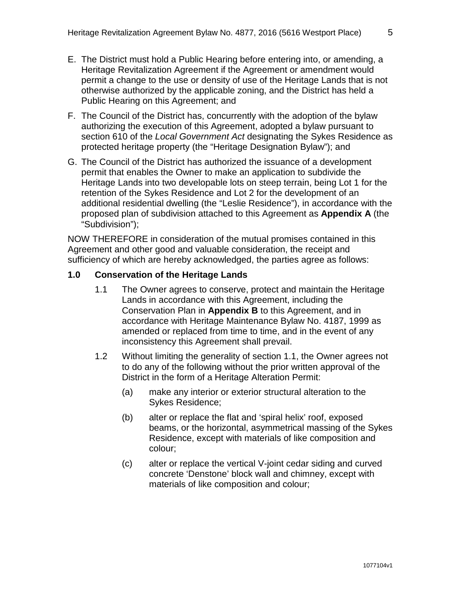- E. The District must hold a Public Hearing before entering into, or amending, a Heritage Revitalization Agreement if the Agreement or amendment would permit a change to the use or density of use of the Heritage Lands that is not otherwise authorized by the applicable zoning, and the District has held a Public Hearing on this Agreement; and
- F. The Council of the District has, concurrently with the adoption of the bylaw authorizing the execution of this Agreement, adopted a bylaw pursuant to section 610 of the *Local Government Act* designating the Sykes Residence as protected heritage property (the "Heritage Designation Bylaw"); and
- G. The Council of the District has authorized the issuance of a development permit that enables the Owner to make an application to subdivide the Heritage Lands into two developable lots on steep terrain, being Lot 1 for the retention of the Sykes Residence and Lot 2 for the development of an additional residential dwelling (the "Leslie Residence"), in accordance with the proposed plan of subdivision attached to this Agreement as **Appendix A** (the "Subdivision");

NOW THEREFORE in consideration of the mutual promises contained in this Agreement and other good and valuable consideration, the receipt and sufficiency of which are hereby acknowledged, the parties agree as follows:

#### **1.0 Conservation of the Heritage Lands**

- 1.1 The Owner agrees to conserve, protect and maintain the Heritage Lands in accordance with this Agreement, including the Conservation Plan in **Appendix B** to this Agreement, and in accordance with Heritage Maintenance Bylaw No. 4187, 1999 as amended or replaced from time to time, and in the event of any inconsistency this Agreement shall prevail.
- 1.2 Without limiting the generality of section 1.1, the Owner agrees not to do any of the following without the prior written approval of the District in the form of a Heritage Alteration Permit:
	- (a) make any interior or exterior structural alteration to the Sykes Residence;
	- (b) alter or replace the flat and 'spiral helix' roof, exposed beams, or the horizontal, asymmetrical massing of the Sykes Residence, except with materials of like composition and colour;
	- (c) alter or replace the vertical V-joint cedar siding and curved concrete 'Denstone' block wall and chimney, except with materials of like composition and colour;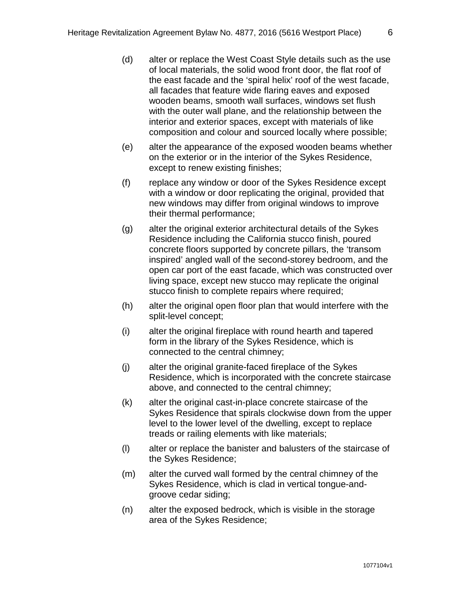- (d) alter or replace the West Coast Style details such as the use of local materials, the solid wood front door, the flat roof of the east facade and the 'spiral helix' roof of the west facade, all facades that feature wide flaring eaves and exposed wooden beams, smooth wall surfaces, windows set flush with the outer wall plane, and the relationship between the interior and exterior spaces, except with materials of like composition and colour and sourced locally where possible;
- (e) alter the appearance of the exposed wooden beams whether on the exterior or in the interior of the Sykes Residence, except to renew existing finishes;
- (f) replace any window or door of the Sykes Residence except with a window or door replicating the original, provided that new windows may differ from original windows to improve their thermal performance;
- (g) alter the original exterior architectural details of the Sykes Residence including the California stucco finish, poured concrete floors supported by concrete pillars, the 'transom inspired' angled wall of the second-storey bedroom, and the open car port of the east facade, which was constructed over living space, except new stucco may replicate the original stucco finish to complete repairs where required;
- (h) alter the original open floor plan that would interfere with the split-level concept;
- (i) alter the original fireplace with round hearth and tapered form in the library of the Sykes Residence, which is connected to the central chimney;
- (j) alter the original granite-faced fireplace of the Sykes Residence, which is incorporated with the concrete staircase above, and connected to the central chimney;
- (k) alter the original cast-in-place concrete staircase of the Sykes Residence that spirals clockwise down from the upper level to the lower level of the dwelling, except to replace treads or railing elements with like materials;
- (l) alter or replace the banister and balusters of the staircase of the Sykes Residence;
- (m) alter the curved wall formed by the central chimney of the Sykes Residence, which is clad in vertical tongue-andgroove cedar siding;
- (n) alter the exposed bedrock, which is visible in the storage area of the Sykes Residence;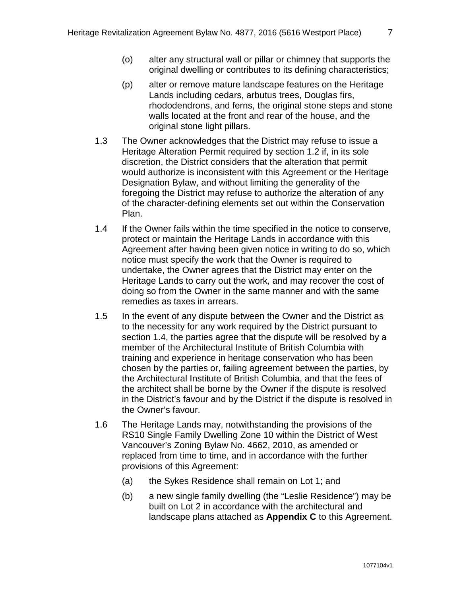- (o) alter any structural wall or pillar or chimney that supports the original dwelling or contributes to its defining characteristics;
- (p) alter or remove mature landscape features on the Heritage Lands including cedars, arbutus trees, Douglas firs, rhododendrons, and ferns, the original stone steps and stone walls located at the front and rear of the house, and the original stone light pillars.
- 1.3 The Owner acknowledges that the District may refuse to issue a Heritage Alteration Permit required by section 1.2 if, in its sole discretion, the District considers that the alteration that permit would authorize is inconsistent with this Agreement or the Heritage Designation Bylaw, and without limiting the generality of the foregoing the District may refuse to authorize the alteration of any of the character-defining elements set out within the Conservation Plan.
- 1.4 If the Owner fails within the time specified in the notice to conserve, protect or maintain the Heritage Lands in accordance with this Agreement after having been given notice in writing to do so, which notice must specify the work that the Owner is required to undertake, the Owner agrees that the District may enter on the Heritage Lands to carry out the work, and may recover the cost of doing so from the Owner in the same manner and with the same remedies as taxes in arrears.
- 1.5 In the event of any dispute between the Owner and the District as to the necessity for any work required by the District pursuant to section 1.4, the parties agree that the dispute will be resolved by a member of the Architectural Institute of British Columbia with training and experience in heritage conservation who has been chosen by the parties or, failing agreement between the parties, by the Architectural Institute of British Columbia, and that the fees of the architect shall be borne by the Owner if the dispute is resolved in the District's favour and by the District if the dispute is resolved in the Owner's favour.
- 1.6 The Heritage Lands may, notwithstanding the provisions of the RS10 Single Family Dwelling Zone 10 within the District of West Vancouver's Zoning Bylaw No. 4662, 2010, as amended or replaced from time to time, and in accordance with the further provisions of this Agreement:
	- (a) the Sykes Residence shall remain on Lot 1; and
	- (b) a new single family dwelling (the "Leslie Residence") may be built on Lot 2 in accordance with the architectural and landscape plans attached as **Appendix C** to this Agreement.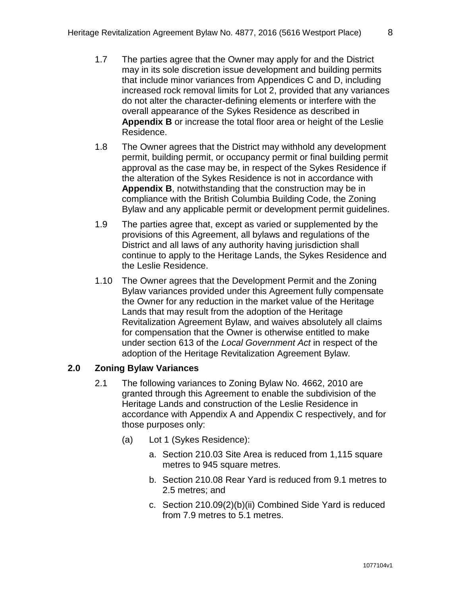- 1.7 The parties agree that the Owner may apply for and the District may in its sole discretion issue development and building permits that include minor variances from Appendices C and D, including increased rock removal limits for Lot 2, provided that any variances do not alter the character-defining elements or interfere with the overall appearance of the Sykes Residence as described in **Appendix B** or increase the total floor area or height of the Leslie Residence.
- 1.8 The Owner agrees that the District may withhold any development permit, building permit, or occupancy permit or final building permit approval as the case may be, in respect of the Sykes Residence if the alteration of the Sykes Residence is not in accordance with **Appendix B**, notwithstanding that the construction may be in compliance with the British Columbia Building Code, the Zoning Bylaw and any applicable permit or development permit guidelines.
- 1.9 The parties agree that, except as varied or supplemented by the provisions of this Agreement, all bylaws and regulations of the District and all laws of any authority having jurisdiction shall continue to apply to the Heritage Lands, the Sykes Residence and the Leslie Residence.
- 1.10 The Owner agrees that the Development Permit and the Zoning Bylaw variances provided under this Agreement fully compensate the Owner for any reduction in the market value of the Heritage Lands that may result from the adoption of the Heritage Revitalization Agreement Bylaw, and waives absolutely all claims for compensation that the Owner is otherwise entitled to make under section 613 of the *Local Government Act* in respect of the adoption of the Heritage Revitalization Agreement Bylaw.

#### **2.0 Zoning Bylaw Variances**

- 2.1 The following variances to Zoning Bylaw No. 4662, 2010 are granted through this Agreement to enable the subdivision of the Heritage Lands and construction of the Leslie Residence in accordance with Appendix A and Appendix C respectively, and for those purposes only:
	- (a) Lot 1 (Sykes Residence):
		- a. Section 210.03 Site Area is reduced from 1,115 square metres to 945 square metres.
		- b. Section 210.08 Rear Yard is reduced from 9.1 metres to 2.5 metres; and
		- c. Section 210.09(2)(b)(ii) Combined Side Yard is reduced from 7.9 metres to 5.1 metres.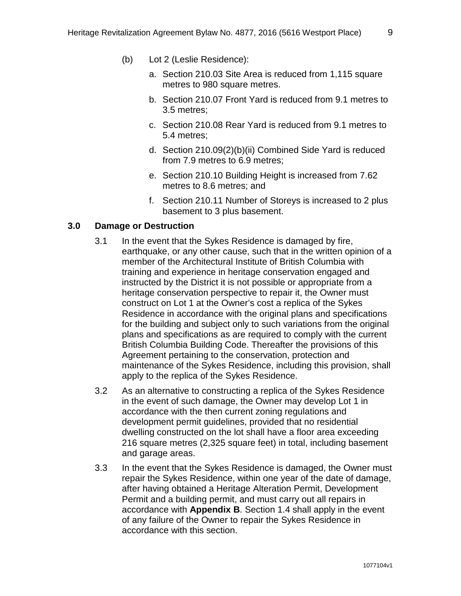- (b) Lot 2 (Leslie Residence):
	- a. Section 210.03 Site Area is reduced from 1,115 square metres to 980 square metres.
	- b. Section 210.07 Front Yard is reduced from 9.1 metres to 3.5 metres;
	- c. Section 210.08 Rear Yard is reduced from 9.1 metres to 5.4 metres;
	- d. Section 210.09(2)(b)(ii) Combined Side Yard is reduced from 7.9 metres to 6.9 metres;
	- e. Section 210.10 Building Height is increased from 7.62 metres to 8.6 metres; and
	- f. Section 210.11 Number of Storeys is increased to 2 plus basement to 3 plus basement.

#### **3.0 Damage or Destruction**

- 3.1 In the event that the Sykes Residence is damaged by fire, earthquake, or any other cause, such that in the written opinion of a member of the Architectural Institute of British Columbia with training and experience in heritage conservation engaged and instructed by the District it is not possible or appropriate from a heritage conservation perspective to repair it, the Owner must construct on Lot 1 at the Owner's cost a replica of the Sykes Residence in accordance with the original plans and specifications for the building and subject only to such variations from the original plans and specifications as are required to comply with the current British Columbia Building Code. Thereafter the provisions of this Agreement pertaining to the conservation, protection and maintenance of the Sykes Residence, including this provision, shall apply to the replica of the Sykes Residence.
- 3.2 As an alternative to constructing a replica of the Sykes Residence in the event of such damage, the Owner may develop Lot 1 in accordance with the then current zoning regulations and development permit guidelines, provided that no residential dwelling constructed on the lot shall have a floor area exceeding 216 square metres (2,325 square feet) in total, including basement and garage areas.
- 3.3 In the event that the Sykes Residence is damaged, the Owner must repair the Sykes Residence, within one year of the date of damage, after having obtained a Heritage Alteration Permit, Development Permit and a building permit, and must carry out all repairs in accordance with **Appendix B**. Section 1.4 shall apply in the event of any failure of the Owner to repair the Sykes Residence in accordance with this section.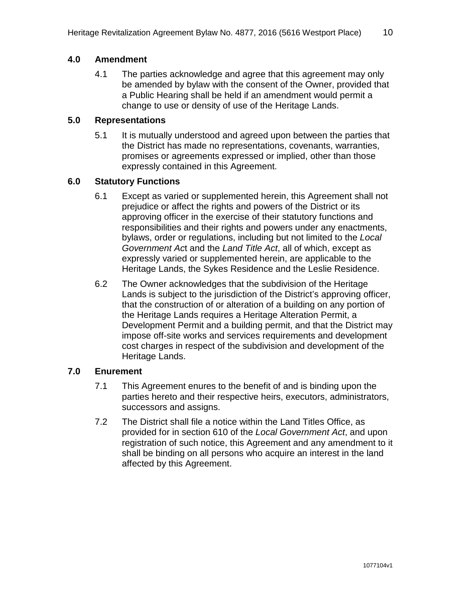#### **4.0 Amendment**

4.1 The parties acknowledge and agree that this agreement may only be amended by bylaw with the consent of the Owner, provided that a Public Hearing shall be held if an amendment would permit a change to use or density of use of the Heritage Lands.

#### **5.0 Representations**

5.1 It is mutually understood and agreed upon between the parties that the District has made no representations, covenants, warranties, promises or agreements expressed or implied, other than those expressly contained in this Agreement.

#### **6.0 Statutory Functions**

- 6.1 Except as varied or supplemented herein, this Agreement shall not prejudice or affect the rights and powers of the District or its approving officer in the exercise of their statutory functions and responsibilities and their rights and powers under any enactments, bylaws, order or regulations, including but not limited to the *Local Government Ac*t and the *Land Title Act*, all of which, except as expressly varied or supplemented herein, are applicable to the Heritage Lands, the Sykes Residence and the Leslie Residence.
- 6.2 The Owner acknowledges that the subdivision of the Heritage Lands is subject to the jurisdiction of the District's approving officer, that the construction of or alteration of a building on any portion of the Heritage Lands requires a Heritage Alteration Permit, a Development Permit and a building permit, and that the District may impose off-site works and services requirements and development cost charges in respect of the subdivision and development of the Heritage Lands.

#### **7.0 Enurement**

- 7.1 This Agreement enures to the benefit of and is binding upon the parties hereto and their respective heirs, executors, administrators, successors and assigns.
- 7.2 The District shall file a notice within the Land Titles Office, as provided for in section 610 of the *Local Government Act*, and upon registration of such notice, this Agreement and any amendment to it shall be binding on all persons who acquire an interest in the land affected by this Agreement.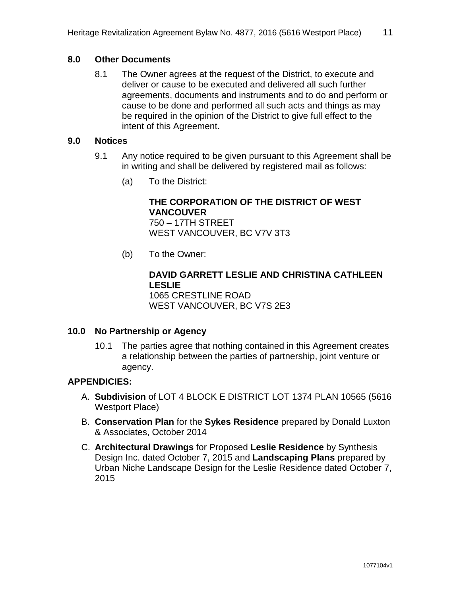#### **8.0 Other Documents**

8.1 The Owner agrees at the request of the District, to execute and deliver or cause to be executed and delivered all such further agreements, documents and instruments and to do and perform or cause to be done and performed all such acts and things as may be required in the opinion of the District to give full effect to the intent of this Agreement.

#### **9.0 Notices**

- 9.1 Any notice required to be given pursuant to this Agreement shall be in writing and shall be delivered by registered mail as follows:
	- (a) To the District:

#### **THE CORPORATION OF THE DISTRICT OF WEST VANCOUVER** 750 – 17TH STREET

WEST VANCOUVER, BC V7V 3T3

(b) To the Owner:

### **DAVID GARRETT LESLIE AND CHRISTINA CATHLEEN LESLIE** 1065 CRESTLINE ROAD

WEST VANCOUVER, BC V7S 2E3

#### **10.0 No Partnership or Agency**

10.1 The parties agree that nothing contained in this Agreement creates a relationship between the parties of partnership, joint venture or agency.

#### **APPENDICIES:**

- A. **Subdivision** of LOT 4 BLOCK E DISTRICT LOT 1374 PLAN 10565 (5616 Westport Place)
- B. **Conservation Plan** for the **Sykes Residence** prepared by Donald Luxton & Associates, October 2014
- C. **Architectural Drawings** for Proposed **Leslie Residence** by Synthesis Design Inc. dated October 7, 2015 and **Landscaping Plans** prepared by Urban Niche Landscape Design for the Leslie Residence dated October 7, 2015